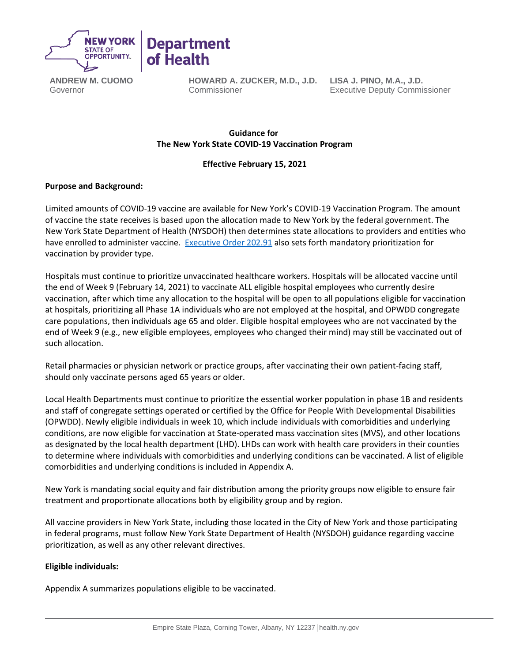

**ANDREW M. CUOMO** Governor

**HOWARD A. ZUCKER, M.D., J.D.** Commissioner

**LISA J. PINO, M.A., J.D.** Executive Deputy Commissioner

# **Guidance for   The New York State COVID-19 Vaccination Program**

# **Effective February 15, 2021**

### **Purpose and Background:**

Limited amounts of COVID-19 vaccine are available for New York's COVID-19 Vaccination Program. The amount of vaccine the state receives is based upon the allocation made to New York by the federal government. The New York State Department of Health (NYSDOH) then determines state allocations to providers and entities who have enrolled to administer vaccine. [Executive Order 202.91](https://www.governor.ny.gov/news/no-20291-continuing-temporary-suspension-and-modification-laws-relating-disaster-emergency) also sets forth mandatory prioritization for vaccination by provider type.

Hospitals must continue to prioritize unvaccinated healthcare workers. Hospitals will be allocated vaccine until the end of Week 9 (February 14, 2021) to vaccinate ALL eligible hospital employees who currently desire vaccination, after which time any allocation to the hospital will be open to all populations eligible for vaccination at hospitals, prioritizing all Phase 1A individuals who are not employed at the hospital, and OPWDD congregate care populations, then individuals age 65 and older. Eligible hospital employees who are not vaccinated by the end of Week 9 (e.g., new eligible employees, employees who changed their mind) may still be vaccinated out of such allocation.

Retail pharmacies or physician network or practice groups, after vaccinating their own patient-facing staff, should only vaccinate persons aged 65 years or older.

Local Health Departments must continue to prioritize the essential worker population in phase 1B and residents and staff of congregate settings operated or certified by the Office for People With Developmental Disabilities (OPWDD). Newly eligible individuals in week 10, which include individuals with comorbidities and underlying conditions, are now eligible for vaccination at State-operated mass vaccination sites (MVS), and other locations as designated by the local health department (LHD). LHDs can work with health care providers in their counties to determine where individuals with comorbidities and underlying conditions can be vaccinated. A list of eligible comorbidities and underlying conditions is included in Appendix A.

New York is mandating social equity and fair distribution among the priority groups now eligible to ensure fair treatment and proportionate allocations both by eligibility group and by region.

All vaccine providers in New York State, including those located in the City of New York and those participating in federal programs, must follow New York State Department of Health (NYSDOH) guidance regarding vaccine prioritization, as well as any other relevant directives.

### **Eligible individuals:**

Appendix A summarizes populations eligible to be vaccinated.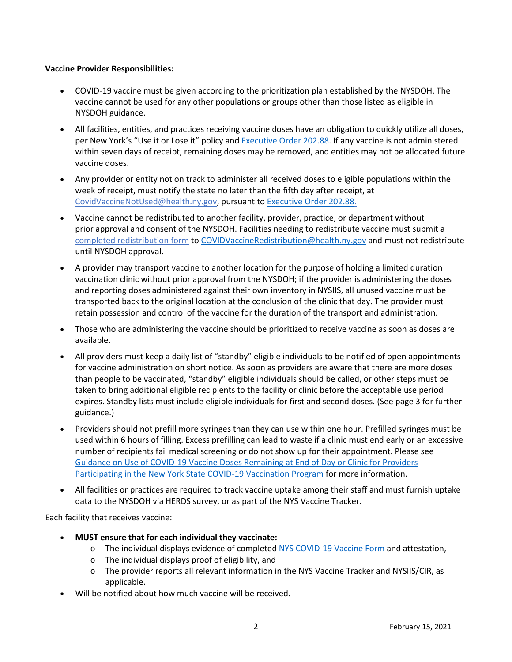### **Vaccine Provider Responsibilities:**

- COVID-19 vaccine must be given according to the prioritization plan established by the NYSDOH. The vaccine cannot be used for any other populations or groups other than those listed as eligible in NYSDOH guidance.
- All facilities, entities, and practices receiving vaccine doses have an obligation to quickly utilize all doses, per New York's "Use it or Lose it" policy and [Executive Order 202.88.](https://www.governor.ny.gov/news/no-20288-continuing-temporary-suspension-and-modification-laws-relating-disaster-emergency) If any vaccine is not administered within seven days of receipt, remaining doses may be removed, and entities may not be allocated future vaccine doses.
- Any provider or entity not on track to administer all received doses to eligible populations within the week of receipt, must notify the state no later than the fifth day after receipt, at [CovidVaccineNotUsed@health.ny.gov,](mailto:CovidVaccineNotUsed@health.ny.gov) pursuant to [Executive Order 202.88.](https://www.governor.ny.gov/news/no-20288-continuing-temporary-suspension-and-modification-laws-relating-disaster-emergency)
- Vaccine cannot be redistributed to another facility, provider, practice, or department without prior approval and consent of the NYSDOH. Facilities needing to redistribute vaccine must submit a [completed redistribution form](https://coronavirus.health.ny.gov/system/files/documents/2021/01/vaccine_redistribution_guidance.pdf) t[o COVIDVaccineRedistribution@health.ny.gov](mailto:COVIDVaccineRedistribution@health.ny.gov) and must not redistribute until NYSDOH approval.
- A provider may transport vaccine to another location for the purpose of holding a limited duration vaccination clinic without prior approval from the NYSDOH; if the provider is administering the doses and reporting doses administered against their own inventory in NYSIIS, all unused vaccine must be transported back to the original location at the conclusion of the clinic that day. The provider must retain possession and control of the vaccine for the duration of the transport and administration.
- Those who are administering the vaccine should be prioritized to receive vaccine as soon as doses are available.
- All providers must keep a daily list of "standby" eligible individuals to be notified of open appointments for vaccine administration on short notice. As soon as providers are aware that there are more doses than people to be vaccinated, "standby" eligible individuals should be called, or other steps must be taken to bring additional eligible recipients to the facility or clinic before the acceptable use period expires. Standby lists must include eligible individuals for first and second doses. (See page 3 for further guidance.)
- Providers should not prefill more syringes than they can use within one hour. Prefilled syringes must be used within 6 hours of filling. Excess prefilling can lead to waste if a clinic must end early or an excessive number of recipients fail medical screening or do not show up for their appointment. Please see [Guidance on Use of COVID-19 Vaccine Doses Remaining at End of Day or Clinic for Providers](https://coronavirus.health.ny.gov/system/files/documents/2021/01/guidance_about_to_expire_remaining_doses_of_covid_19_vaccine011321.pdf)  [Participating in the New York State COVID-19 Vaccination Program](https://coronavirus.health.ny.gov/system/files/documents/2021/01/guidance_about_to_expire_remaining_doses_of_covid_19_vaccine011321.pdf) for more information.
- All facilities or practices are required to track vaccine uptake among their staff and must furnish uptake data to the NYSDOH via HERDS survey, or as part of the NYS Vaccine Tracker.

### Each facility that receives vaccine:

- **MUST ensure that for each individual they vaccinate:**
	- o The individual displays evidence of completed NYS [COVID-19 Vaccine Form](https://forms.ny.gov/s3/vaccine) and attestation,
	- o The individual displays proof of eligibility, and
	- o The provider reports all relevant information in the NYS Vaccine Tracker and NYSIIS/CIR, as applicable.
- Will be notified about how much vaccine will be received.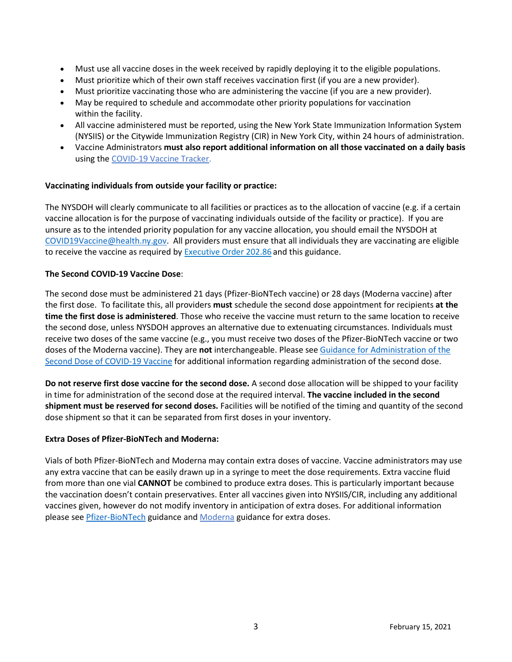- Must use all vaccine doses in the week received by rapidly deploying it to the eligible populations.
- Must prioritize which of their own staff receives vaccination first (if you are a new provider).
- Must prioritize vaccinating those who are administering the vaccine (if you are a new provider).
- May be required to schedule and accommodate other priority populations for vaccination within the facility.
- All vaccine administered must be reported, using the New York State Immunization Information System (NYSIIS) or the Citywide Immunization Registry (CIR) in New York City, within 24 hours of administration.
- Vaccine Administrators **must also report additional information on all those vaccinated on a daily basis** using th[e COVID-19 Vaccine Tracker.](https://forms.ny.gov/s3/COVID-Vaccine-Tracker)

### **Vaccinating individuals from outside your facility or practice:**

The NYSDOH will clearly communicate to all facilities or practices as to the allocation of vaccine (e.g. if a certain vaccine allocation is for the purpose of vaccinating individuals outside of the facility or practice). If you are unsure as to the intended priority population for any vaccine allocation, you should email the NYSDOH at [COVID19Vaccine@health.ny.gov.](mailto:COVID19Vaccine@health.ny.gov) All providers must ensure that all individuals they are vaccinating are eligible to receive the vaccine as required by [Executive Order 202.86](https://www.governor.ny.gov/news/no-20286-continuing-temporary-suspension-and-modification-laws-relating-disaster-emergency) and this guidance.

### **The Second COVID-19 Vaccine Dose**:

The second dose must be administered 21 days (Pfizer-BioNTech vaccine) or 28 days (Moderna vaccine) after the first dose. To facilitate this, all providers **must** schedule the second dose appointment for recipients **at the time the first dose is administered**. Those who receive the vaccine must return to the same location to receive the second dose, unless NYSDOH approves an alternative due to extenuating circumstances. Individuals must receive two doses of the same vaccine (e.g., you must receive two doses of the Pfizer-BioNTech vaccine or two doses of the Moderna vaccine). They are **not** interchangeable. Please see [Guidance for Administration of the](https://coronavirus.health.ny.gov/guidance-administration-second-dose)  [Second Dose of COVID-19 Vaccine](https://coronavirus.health.ny.gov/guidance-administration-second-dose) for additional information regarding administration of the second dose.

**Do not reserve first dose vaccine for the second dose.**A second dose allocation will be shipped to your facility in time for administration of the second dose at the required interval. **The vaccine included in the second shipment must be reserved for second doses.**Facilities will be notified of the timing and quantity of the second dose shipment so that it can be separated from first doses in your inventory.

### **Extra Doses of Pfizer-BioNTech and Moderna:**

Vials of both Pfizer-BioNTech and Moderna may contain extra doses of vaccine. Vaccine administrators may use any extra vaccine that can be easily drawn up in a syringe to meet the dose requirements. Extra vaccine fluid from more than one vial **CANNOT** be combined to produce extra doses. This is particularly important because the vaccination doesn't contain preservatives. Enter all vaccines given into NYSIIS/CIR, including any additional vaccines given, however do not modify inventory in anticipation of extra doses. For additional information please see [Pfizer-BioNTech](https://coronavirus.health.ny.gov/system/files/documents/2020/12/pfizer_vaccine_guidance_doses.pdf) guidance and [Moderna](https://coronavirus.health.ny.gov/system/files/documents/2021/01/modernaextradosepackage.pdf) guidance for extra doses.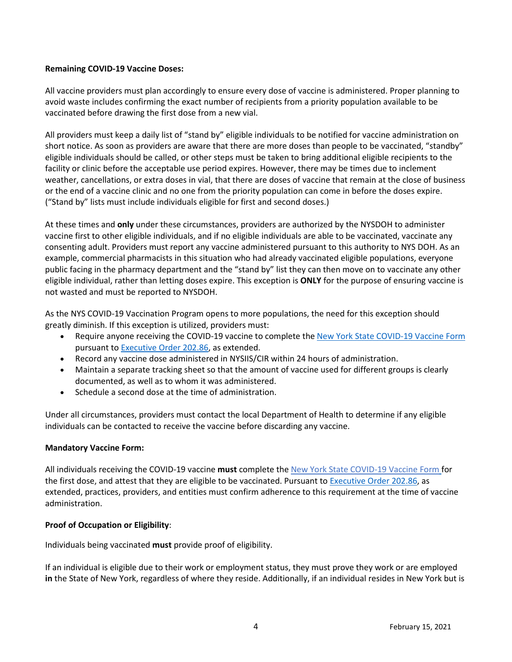## **Remaining COVID-19 Vaccine Doses:**

All vaccine providers must plan accordingly to ensure every dose of vaccine is administered. Proper planning to avoid waste includes confirming the exact number of recipients from a priority population available to be vaccinated before drawing the first dose from a new vial.

All providers must keep a daily list of "stand by" eligible individuals to be notified for vaccine administration on short notice. As soon as providers are aware that there are more doses than people to be vaccinated, "standby" eligible individuals should be called, or other steps must be taken to bring additional eligible recipients to the facility or clinic before the acceptable use period expires. However, there may be times due to inclement weather, cancellations, or extra doses in vial, that there are doses of vaccine that remain at the close of business or the end of a vaccine clinic and no one from the priority population can come in before the doses expire. ("Stand by" lists must include individuals eligible for first and second doses.)

At these times and **only** under these circumstances, providers are authorized by the NYSDOH to administer vaccine first to other eligible individuals, and if no eligible individuals are able to be vaccinated, vaccinate any consenting adult. Providers must report any vaccine administered pursuant to this authority to NYS DOH. As an example, commercial pharmacists in this situation who had already vaccinated eligible populations, everyone public facing in the pharmacy department and the "stand by" list they can then move on to vaccinate any other eligible individual, rather than letting doses expire. This exception is **ONLY** for the purpose of ensuring vaccine is not wasted and must be reported to NYSDOH.

As the NYS COVID-19 Vaccination Program opens to more populations, the need for this exception should greatly diminish. If this exception is utilized, providers must:

- Require anyone receiving the COVID-19 vaccine to complete the [New York State COVID-19 Vaccine Form](https://forms.ny.gov/s3/vaccine) pursuant t[o Executive Order 202.86,](https://www.governor.ny.gov/news/no-20286-continuing-temporary-suspension-and-modification-laws-relating-disaster-emergency) as extended.
- Record any vaccine dose administered in NYSIIS/CIR within 24 hours of administration.
- Maintain a separate tracking sheet so that the amount of vaccine used for different groups is clearly documented, as well as to whom it was administered.
- Schedule a second dose at the time of administration.

Under all circumstances, providers must contact the local Department of Health to determine if any eligible individuals can be contacted to receive the vaccine before discarding any vaccine.

### **Mandatory Vaccine Form:**

All individuals receiving the COVID-19 vaccine **must** complete the [New York State COVID-19 Vaccine Form](https://forms.ny.gov/s3/vaccine) for the first dose, and attest that they are eligible to be vaccinated. Pursuant t[o Executive Order 202.86,](https://www.governor.ny.gov/news/no-20286-continuing-temporary-suspension-and-modification-laws-relating-disaster-emergency) as extended, practices, providers, and entities must confirm adherence to this requirement at the time of vaccine administration.

### **Proof of Occupation or Eligibility**:

Individuals being vaccinated **must** provide proof of eligibility.

If an individual is eligible due to their work or employment status, they must prove they work or are employed **in** the State of New York, regardless of where they reside. Additionally, if an individual resides in New York but is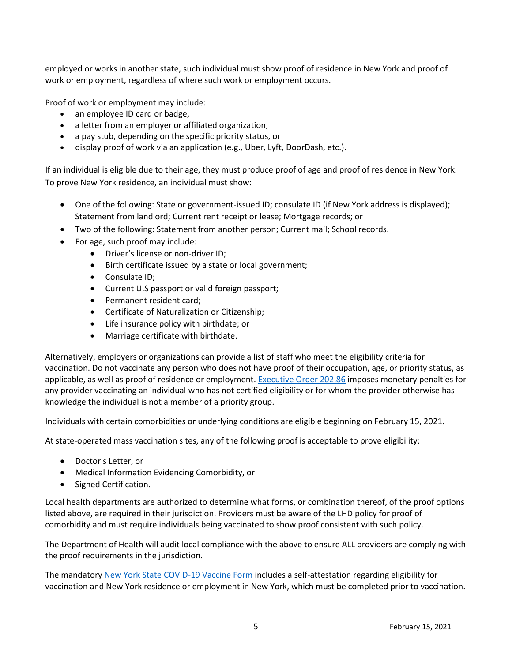employed or works in another state, such individual must show proof of residence in New York and proof of work or employment, regardless of where such work or employment occurs.

Proof of work or employment may include:

- an employee ID card or badge,
- a letter from an employer or affiliated organization,
- a pay stub, depending on the specific priority status, or
- display proof of work via an application (e.g., Uber, Lyft, DoorDash, etc.).

If an individual is eligible due to their age, they must produce proof of age and proof of residence in New York. To prove New York residence, an individual must show:

- One of the following: State or government-issued ID; consulate ID (if New York address is displayed); Statement from landlord; Current rent receipt or lease; Mortgage records; or
- Two of the following: Statement from another person; Current mail; School records.
- For age, such proof may include:
	- Driver's license or non-driver ID;
	- Birth certificate issued by a state or local government;
	- Consulate ID;
	- Current U.S passport or valid foreign passport;
	- Permanent resident card;
	- Certificate of Naturalization or Citizenship;
	- Life insurance policy with birthdate; or
	- Marriage certificate with birthdate.

Alternatively, employers or organizations can provide a list of staff who meet the eligibility criteria for vaccination. Do not vaccinate any person who does not have proof of their occupation, age, or priority status, as applicable, as well as proof of residence or employment[. Executive Order 202.86](https://www.governor.ny.gov/news/no-20286-continuing-temporary-suspension-and-modification-laws-relating-disaster-emergency) imposes monetary penalties for any provider vaccinating an individual who has not certified eligibility or for whom the provider otherwise has knowledge the individual is not a member of a priority group.

Individuals with certain comorbidities or underlying conditions are eligible beginning on February 15, 2021.

At state-operated mass vaccination sites, any of the following proof is acceptable to prove eligibility:

- Doctor's Letter, or
- Medical Information Evidencing Comorbidity, or
- Signed Certification.

Local health departments are authorized to determine what forms, or combination thereof, of the proof options listed above, are required in their jurisdiction. Providers must be aware of the LHD policy for proof of comorbidity and must require individuals being vaccinated to show proof consistent with such policy.

The Department of Health will audit local compliance with the above to ensure ALL providers are complying with the proof requirements in the jurisdiction.

The mandatory [New York State COVID-19 Vaccine Form](https://forms.ny.gov/s3/vaccine) includes a self-attestation regarding eligibility for vaccination and New York residence or employment in New York, which must be completed prior to vaccination.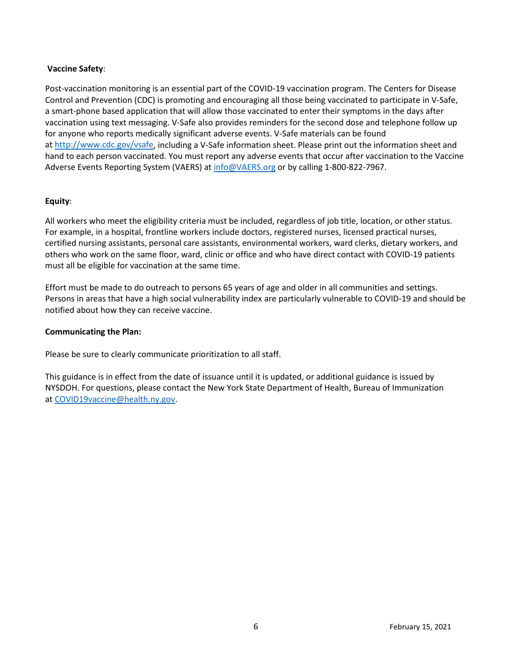### **Vaccine Safety**:

Post-vaccination monitoring is an essential part of the COVID-19 vaccination program. The Centers for Disease Control and Prevention (CDC) is promoting and encouraging all those being vaccinated to participate in V-Safe, a smart-phone based application that will allow those vaccinated to enter their symptoms in the days after vaccination using text messaging. V-Safe also provides reminders for the second dose and telephone follow up for anyone who reports medically significant adverse events. V-Safe materials can be found at [http://www.cdc.gov/vsafe,](http://www.cdc.gov/vsafe) including a V-Safe information sheet. Please print out the information sheet and hand to each person vaccinated. You must report any adverse events that occur after vaccination to the Vaccine Adverse Events Reporting System (VAERS) a[t info@VAERS.org](mailto:info@VAERS.org) or by calling 1-800-822-7967.

### **Equity**:

All workers who meet the eligibility criteria must be included, regardless of job title, location, or other status. For example, in a hospital, frontline workers include doctors, registered nurses, licensed practical nurses, certified nursing assistants, personal care assistants, environmental workers, ward clerks, dietary workers, and others who work on the same floor, ward, clinic or office and who have direct contact with COVID-19 patients must all be eligible for vaccination at the same time.

Effort must be made to do outreach to persons 65 years of age and older in all communities and settings. Persons in areas that have a high social vulnerability index are particularly vulnerable to COVID-19 and should be notified about how they can receive vaccine.

### **Communicating the Plan:**

Please be sure to clearly communicate prioritization to all staff.  

This guidance is in effect from the date of issuance until it is updated, or additional guidance is issued by NYSDOH. For questions, please contact the New York State Department of Health, Bureau of Immunization at [COVID19vaccine@health.ny.gov.](mailto:COVID19vaccine@health.ny.gov)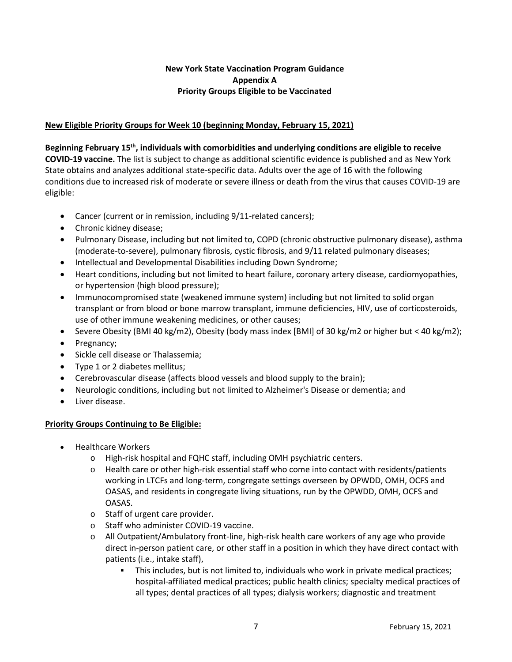# **New York State Vaccination Program Guidance Appendix A Priority Groups Eligible to be Vaccinated**

# **New Eligible Priority Groups for Week 10 (beginning Monday, February 15, 2021)**

**Beginning February 15th, individuals with comorbidities and underlying conditions are eligible to receive COVID-19 vaccine.** The list is subject to change as additional scientific evidence is published and as New York State obtains and analyzes additional state-specific data. Adults over the age of 16 with the following conditions due to increased risk of moderate or severe illness or death from the virus that causes COVID-19 are eligible:

- Cancer (current or in remission, including 9/11-related cancers);
- Chronic kidney disease;
- Pulmonary Disease, including but not limited to, COPD (chronic obstructive pulmonary disease), asthma (moderate-to-severe), pulmonary fibrosis, cystic fibrosis, and 9/11 related pulmonary diseases;
- Intellectual and Developmental Disabilities including Down Syndrome;
- Heart conditions, including but not limited to heart failure, coronary artery disease, cardiomyopathies, or hypertension (high blood pressure);
- Immunocompromised state (weakened immune system) including but not limited to solid organ transplant or from blood or bone marrow transplant, immune deficiencies, HIV, use of corticosteroids, use of other immune weakening medicines, or other causes;
- Severe Obesity (BMI 40 kg/m2), Obesity (body mass index [BMI] of 30 kg/m2 or higher but < 40 kg/m2);
- Pregnancy;
- Sickle cell disease or Thalassemia;
- Type 1 or 2 diabetes mellitus;
- Cerebrovascular disease (affects blood vessels and blood supply to the brain);
- Neurologic conditions, including but not limited to Alzheimer's Disease or dementia; and
- Liver disease.

### **Priority Groups Continuing to Be Eligible:**

- Healthcare Workers
	- o High-risk hospital and FQHC staff, including OMH psychiatric centers.
	- $\circ$  Health care or other high-risk essential staff who come into contact with residents/patients working in LTCFs and long-term, congregate settings overseen by OPWDD, OMH, OCFS and OASAS, and residents in congregate living situations, run by the OPWDD, OMH, OCFS and OASAS.
	- o Staff of urgent care provider.
	- o Staff who administer COVID-19 vaccine.
	- o All Outpatient/Ambulatory front-line, high-risk health care workers of any age who provide direct in-person patient care, or other staff in a position in which they have direct contact with patients (i.e., intake staff),
		- This includes, but is not limited to, individuals who work in private medical practices; hospital-affiliated medical practices; public health clinics; specialty medical practices of all types; dental practices of all types; dialysis workers; diagnostic and treatment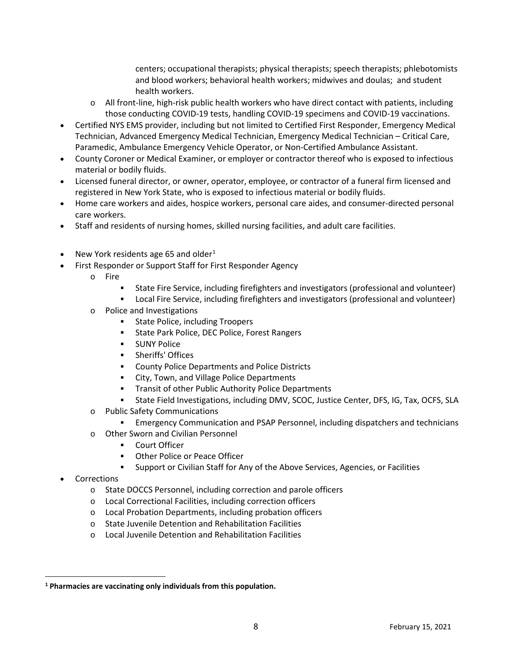centers; occupational therapists; physical therapists; speech therapists; phlebotomists and blood workers; behavioral health workers; midwives and doulas; and student health workers.

- $\circ$  All front-line, high-risk public health workers who have direct contact with patients, including those conducting COVID-19 tests, handling COVID-19 specimens and COVID-19 vaccinations.
- Certified NYS EMS provider, including but not limited to Certified First Responder, Emergency Medical Technician, Advanced Emergency Medical Technician, Emergency Medical Technician – Critical Care, Paramedic, Ambulance Emergency Vehicle Operator, or Non-Certified Ambulance Assistant.
- County Coroner or Medical Examiner, or employer or contractor thereof who is exposed to infectious material or bodily fluids.
- Licensed funeral director, or owner, operator, employee, or contractor of a funeral firm licensed and registered in New York State, who is exposed to infectious material or bodily fluids.
- Home care workers and aides, hospice workers, personal care aides, and consumer-directed personal care workers.
- Staff and residents of nursing homes, skilled nursing facilities, and adult care facilities.
- New York residents age 65 and older<sup>[1](#page-7-0)</sup>
- First Responder or Support Staff for First Responder Agency
	- o Fire
		- State Fire Service, including firefighters and investigators (professional and volunteer)
		- Local Fire Service, including firefighters and investigators (professional and volunteer)
	- o Police and Investigations
		- **State Police, including Troopers**
		- State Park Police, DEC Police, Forest Rangers
		- **SUNY Police**
		- **-** Sheriffs' Offices
		- County Police Departments and Police Districts
		- **EXECT:** City, Town, and Village Police Departments
		- **Transit of other Public Authority Police Departments**
		- State Field Investigations, including DMV, SCOC, Justice Center, DFS, IG, Tax, OCFS, SLA
	- o Public Safety Communications
		- Emergency Communication and PSAP Personnel, including dispatchers and technicians
	- o Other Sworn and Civilian Personnel
		- Court Officer
		- **Other Police or Peace Officer**
		- Support or Civilian Staff for Any of the Above Services, Agencies, or Facilities
- **Corrections** 
	- o State DOCCS Personnel, including correction and parole officers
	- o Local Correctional Facilities, including correction officers
	- o Local Probation Departments, including probation officers
	- o State Juvenile Detention and Rehabilitation Facilities
	- o Local Juvenile Detention and Rehabilitation Facilities

<span id="page-7-0"></span>**<sup>1</sup> Pharmacies are vaccinating only individuals from this population.**